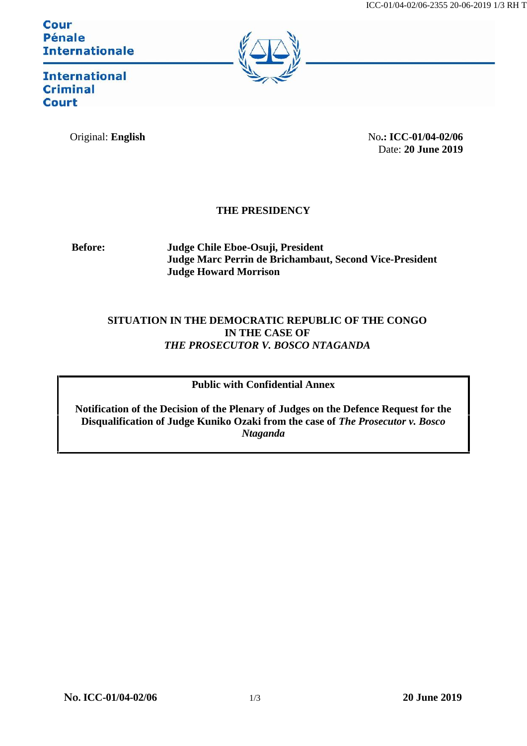**Cour Pénale Internationale** 



**International Criminal Court** 

Original: **English** No.: **ICC-01/04-02/06** Date: **20 June 2019**

## **THE PRESIDENCY**

**Before: Judge Chile Eboe-Osuji, President Judge Marc Perrin de Brichambaut, Second Vice-President Judge Howard Morrison**

## **SITUATION IN THE DEMOCRATIC REPUBLIC OF THE CONGO IN THE CASE OF** *THE PROSECUTOR V. BOSCO NTAGANDA*

### **Public with Confidential Annex**

**Notification of the Decision of the Plenary of Judges on the Defence Request for the Disqualification of Judge Kuniko Ozaki from the case of** *The Prosecutor v. Bosco Ntaganda*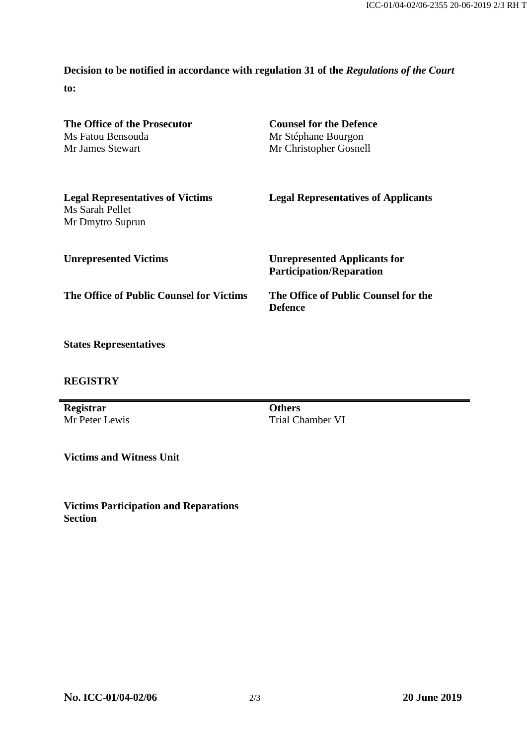# **Decision to be notified in accordance with regulation 31 of the** *Regulations of the Court*

**to:**

| The Office of the Prosecutor                                                   | <b>Counsel for the Defence</b>                         |
|--------------------------------------------------------------------------------|--------------------------------------------------------|
| Ms Fatou Bensouda                                                              | Mr Stéphane Bourgon                                    |
| Mr James Stewart                                                               | Mr Christopher Gosnell                                 |
| <b>Legal Representatives of Victims</b><br>Ms Sarah Pellet<br>Mr Dmytro Suprun | <b>Legal Representatives of Applicants</b>             |
| <b>Unrepresented Victims</b>                                                   | <b>Unrepresented Applicants for</b>                    |
|                                                                                | <b>Participation/Reparation</b>                        |
| The Office of Public Counsel for Victims                                       | The Office of Public Counsel for the<br><b>Defence</b> |
|                                                                                |                                                        |

**States Representatives**

#### **REGISTRY**

**Registrar** Mr Peter Lewis

**Others** Trial Chamber VI

**Victims and Witness Unit**

**Victims Participation and Reparations Section**